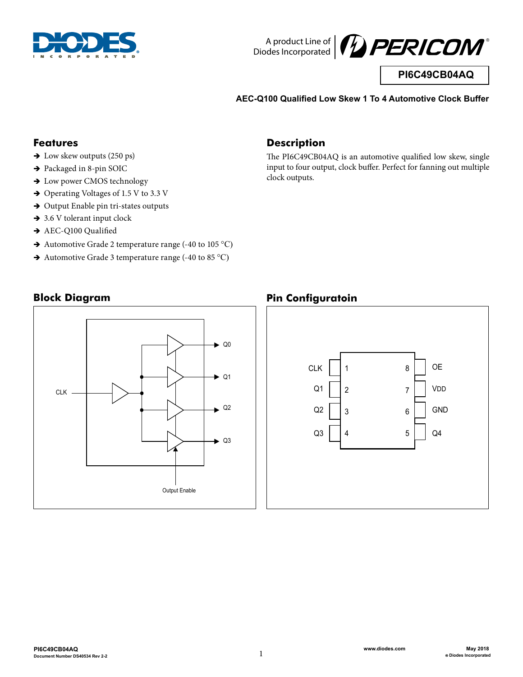



**PI6C49CB04AQ**

**AEC-Q100 Qualified Low Skew 1 To 4 Automotive Clock Buffer**

#### **Features**

- $\rightarrow$  Low skew outputs (250 ps)
- → Packaged in 8-pin SOIC
- $\rightarrow$  Low power CMOS technology
- $\rightarrow$  Operating Voltages of 1.5 V to 3.3 V
- $\rightarrow$  Output Enable pin tri-states outputs
- $\rightarrow$  3.6 V tolerant input clock
- $\rightarrow$  AEC-Q100 Qualified
- $\rightarrow$  Automotive Grade 2 temperature range (-40 to 105 °C)
- $\rightarrow$  Automotive Grade 3 temperature range (-40 to 85 °C)

## **Description**

The PI6C49CB04AQ is an automotive qualified low skew, single input to four output, clock buffer. Perfect for fanning out multiple clock outputs.

## **Block Diagram**



## **Pin Configuratoin**

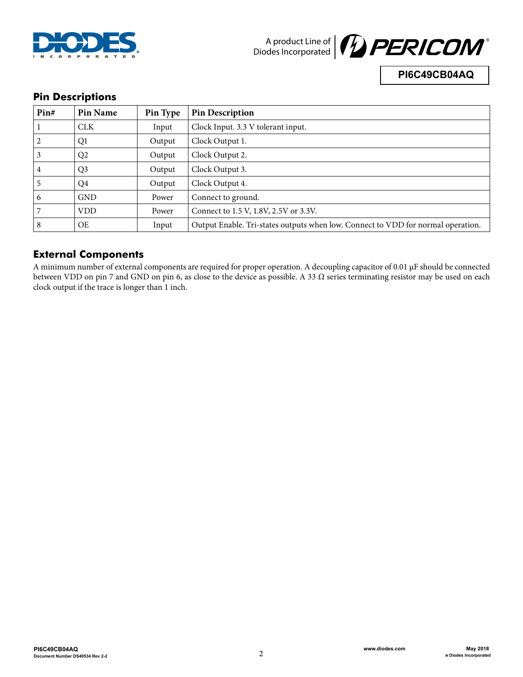



**PI6C49CB04AQ**

## **Pin Descriptions**

| Pin# | Pin Name       | Pin Type | <b>Pin Description</b>                                                           |
|------|----------------|----------|----------------------------------------------------------------------------------|
|      | <b>CLK</b>     | Input    | Clock Input. 3.3 V tolerant input.                                               |
|      | Q1             | Output   | Clock Output 1.                                                                  |
|      | Q <sub>2</sub> | Output   | Clock Output 2.                                                                  |
| 4    | Q <sub>3</sub> | Output   | Clock Output 3.                                                                  |
|      | Q4             | Output   | Clock Output 4.                                                                  |
| b    | <b>GND</b>     | Power    | Connect to ground.                                                               |
|      | <b>VDD</b>     | Power    | Connect to 1.5 V, 1.8V, 2.5V or 3.3V.                                            |
| 8    | <b>OE</b>      | Input    | Output Enable. Tri-states outputs when low. Connect to VDD for normal operation. |

## **External Components**

A minimum number of external components are required for proper operation. A decoupling capacitor of 0.01 μF should be connected between VDD on pin 7 and GND on pin 6, as close to the device as possible. A 33  $\Omega$  series terminating resistor may be used on each clock output if the trace is longer than 1 inch.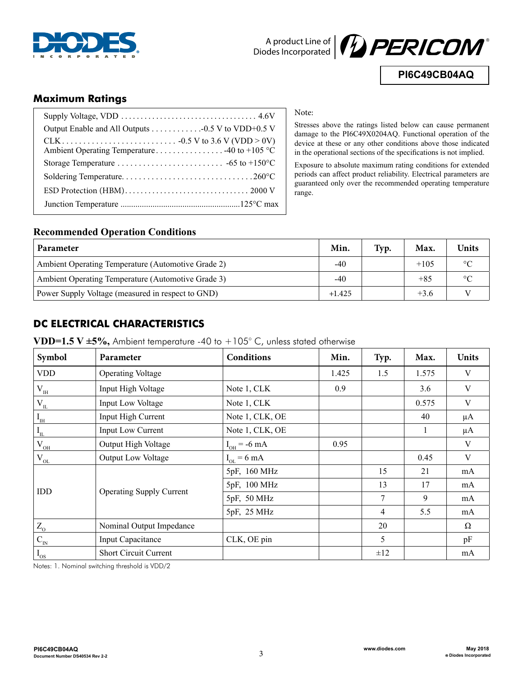



**PI6C49CB04AQ**

## **Maximum Ratings**

| Ambient Operating Temperature 40 to +105 °C |
|---------------------------------------------|
|                                             |
|                                             |
|                                             |
|                                             |
|                                             |

#### Note:

Stresses above the ratings listed below can cause permanent damage to the PI6C49X0204AQ. Functional operation of the device at these or any other conditions above those indicated in the operational sections of the specifications is not implied.

Exposure to absolute maximum rating conditions for extended periods can affect product reliability. Electrical parameters are guaranteed only over the recommended operating temperature range.

#### **Recommended Operation Conditions**

| <b>Parameter</b>                                   | Min.     | Typ. | Max.   | <b>Units</b> |
|----------------------------------------------------|----------|------|--------|--------------|
| Ambient Operating Temperature (Automotive Grade 2) | $-40$    |      | $+105$ | $\circ$      |
| Ambient Operating Temperature (Automotive Grade 3) | $-40$    |      | $+85$  | $\circ$      |
| Power Supply Voltage (measured in respect to GND)  | $+1.425$ |      | $+3.6$ |              |

## **DC ELECTRICAL CHARACTERISTICS**

| VDD=1.5 V $\pm$ 5%, Ambient temperature -40 to +105° C, unless stated otherwise |  |  |  |
|---------------------------------------------------------------------------------|--|--|--|
|---------------------------------------------------------------------------------|--|--|--|

| Symbol                         | Parameter                       | Conditions              | Min.  | Typ. | Max.  | <b>Units</b> |
|--------------------------------|---------------------------------|-------------------------|-------|------|-------|--------------|
| <b>VDD</b>                     | <b>Operating Voltage</b>        |                         | 1.425 | 1.5  | 1.575 | V            |
| $V_{\text{IH}}$                | Input High Voltage              | Note 1, CLK             | 0.9   |      | 3.6   | V            |
| $V_{\underline{\text{IL}}}$    | Input Low Voltage               | Note 1, CLK             |       |      | 0.575 | V            |
| $I_{\scriptscriptstyle\rm IH}$ | Input High Current              | Note 1, CLK, OE         |       |      | 40    | $\mu A$      |
| $\rm I_{\rm IL}$               | <b>Input Low Current</b>        | Note 1, CLK, OE         |       |      | 1     | $\mu$ A      |
| $\rm V_{OH}$                   | Output High Voltage             | $I_{OH}$ = -6 mA        | 0.95  |      |       | V            |
| $V_{OL}$                       | Output Low Voltage              | $I_{OL} = 6 \text{ mA}$ |       |      | 0.45  | $\mathbf{V}$ |
|                                |                                 | 5pF, 160 MHz            |       | 15   | 21    | mA           |
| IDD                            |                                 | 5pF, 100 MHz            |       | 13   | 17    | mA           |
|                                | <b>Operating Supply Current</b> | 5pF, 50 MHz             |       | 7    | 9     | mA           |
|                                |                                 | 5pF, 25 MHz             |       | 4    | 5.5   | mA           |
| $\rm Z_{\rm O}$                | Nominal Output Impedance        |                         |       | 20   |       | $\Omega$     |
| $\mathbf{C}_{\text{IN}}$       | <b>Input Capacitance</b>        | CLK, OE pin             |       | 5    |       | pF           |
| $I_{OS}$                       | <b>Short Circuit Current</b>    |                         |       | ±12  |       | mA           |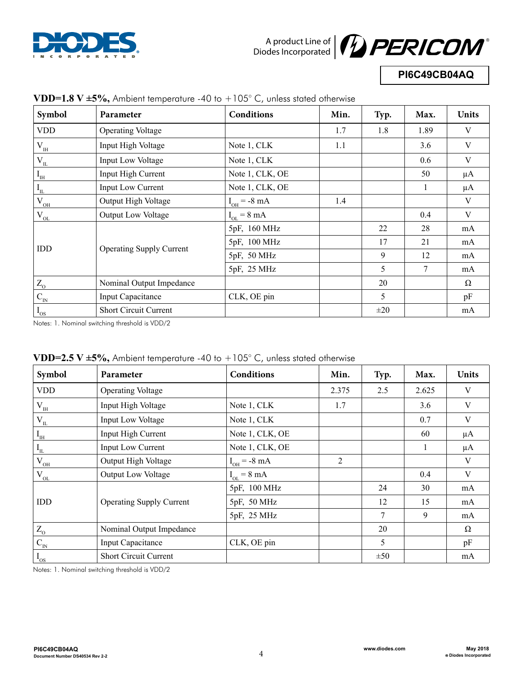



## **PI6C49CB04AQ**

| Symbol                                 | $\frac{1}{2}$ $\frac{1}{2}$ $\frac{1}{2}$ $\frac{1}{2}$ $\frac{1}{2}$ $\frac{1}{2}$ $\frac{1}{2}$ $\frac{1}{2}$ $\frac{1}{2}$ $\frac{1}{2}$ $\frac{1}{2}$ $\frac{1}{2}$ $\frac{1}{2}$ $\frac{1}{2}$ $\frac{1}{2}$ $\frac{1}{2}$ $\frac{1}{2}$ $\frac{1}{2}$ $\frac{1}{2}$ $\frac{1}{2}$ $\frac{1}{2}$ $\frac{1}{2}$<br>Parameter | Conditions              | Min. | Typ.     | Max. | <b>Units</b> |
|----------------------------------------|----------------------------------------------------------------------------------------------------------------------------------------------------------------------------------------------------------------------------------------------------------------------------------------------------------------------------------|-------------------------|------|----------|------|--------------|
| <b>VDD</b>                             | <b>Operating Voltage</b>                                                                                                                                                                                                                                                                                                         |                         | 1.7  | 1.8      | 1.89 | V            |
| $\rm V_{\rm IH}$                       | Input High Voltage                                                                                                                                                                                                                                                                                                               | Note 1, CLK             | 1.1  |          | 3.6  | V            |
| $\ensuremath{V_\mathrm{IL}}\xspace$    | <b>Input Low Voltage</b>                                                                                                                                                                                                                                                                                                         | Note 1, CLK             |      |          | 0.6  | $\mathbf V$  |
| $I_{\scriptscriptstyle\rm IH}$         | Input High Current                                                                                                                                                                                                                                                                                                               | Note 1, CLK, OE         |      |          | 50   | $\mu A$      |
| $I_{\text{IL}}$                        | <b>Input Low Current</b>                                                                                                                                                                                                                                                                                                         | Note 1, CLK, OE         |      |          | 1    | $\mu A$      |
| $\rm V_{OH}$                           | Output High Voltage                                                                                                                                                                                                                                                                                                              | $I_{OH}$ = -8 mA        | 1.4  |          |      | V            |
| $\mathbf{V}_{\underline{\mathrm{OL}}}$ | Output Low Voltage                                                                                                                                                                                                                                                                                                               | $I_{OL} = 8 \text{ mA}$ |      |          | 0.4  | $\mathbf V$  |
|                                        |                                                                                                                                                                                                                                                                                                                                  | 5pF, 160 MHz            |      | 22       | 28   | mA           |
| IDD                                    |                                                                                                                                                                                                                                                                                                                                  | 5pF, 100 MHz            |      | 17       | 21   | mA           |
|                                        | <b>Operating Supply Current</b>                                                                                                                                                                                                                                                                                                  | 5pF, 50 MHz             |      | 9        | 12   | mA           |
|                                        |                                                                                                                                                                                                                                                                                                                                  | 5pF, 25 MHz             |      | 5        | 7    | mA           |
| $Z_0$                                  | Nominal Output Impedance                                                                                                                                                                                                                                                                                                         |                         |      | 20       |      | Ω            |
| $\mathbf{C}_{\text{IN}}$               | <b>Input Capacitance</b>                                                                                                                                                                                                                                                                                                         | CLK, OE pin             |      | 5        |      | pF           |
| $I_{OS}$                               | <b>Short Circuit Current</b>                                                                                                                                                                                                                                                                                                     |                         |      | $\pm 20$ |      | mA           |

#### **VDD=1.8 V ±5%,** Ambient temperature -40 to +105° C, unless stated otherwise

Notes: 1. Nominal switching threshold is VDD/2

| Symbol                                | Parameter                       | Conditions              | Min.           | Typ.     | Max.  | <b>Units</b> |
|---------------------------------------|---------------------------------|-------------------------|----------------|----------|-------|--------------|
| <b>VDD</b>                            | <b>Operating Voltage</b>        |                         | 2.375          | 2.5      | 2.625 | V            |
| $V_{IH}$                              | Input High Voltage              | Note 1, CLK             | 1.7            |          | 3.6   | V            |
| $V_{\underline{\text{IL}}}$           | <b>Input Low Voltage</b>        | Note 1, CLK             |                |          | 0.7   | V            |
| $\text{I}_{\scriptscriptstyle\rm IH}$ | Input High Current              | Note 1, CLK, OE         |                |          | 60    | μA           |
| $I_{\scriptscriptstyle\rm IL}$        | Input Low Current               | Note 1, CLK, OE         |                |          |       | $\mu A$      |
| $\rm V_{\rm \underline{OH}}$          | Output High Voltage             | $I_{OH}$ = -8 mA        | $\overline{2}$ |          |       | V            |
| $V_{_{OL}}$                           | Output Low Voltage              | $I_{OL} = 8 \text{ mA}$ |                |          | 0.4   | V            |
|                                       |                                 | 5pF, 100 MHz            |                | 24       | 30    | mA           |
| IDD                                   | <b>Operating Supply Current</b> | 5pF, 50 MHz             |                | 12       | 15    | mA           |
|                                       |                                 | 5pF, 25 MHz             |                | 7        | 9     | mA           |
| $Z_0$                                 | Nominal Output Impedance        |                         |                | 20       |       | $\Omega$     |
| $C_{IN}$                              | Input Capacitance               | CLK, OE pin             |                | 5        |       | pF           |
| $\rm I_{os}$                          | <b>Short Circuit Current</b>    |                         |                | $\pm 50$ |       | mA           |

| VDD=2.5 V $\pm$ 5%, Ambient temperature -40 to +105° C, unless stated otherwise |  |  |
|---------------------------------------------------------------------------------|--|--|
|                                                                                 |  |  |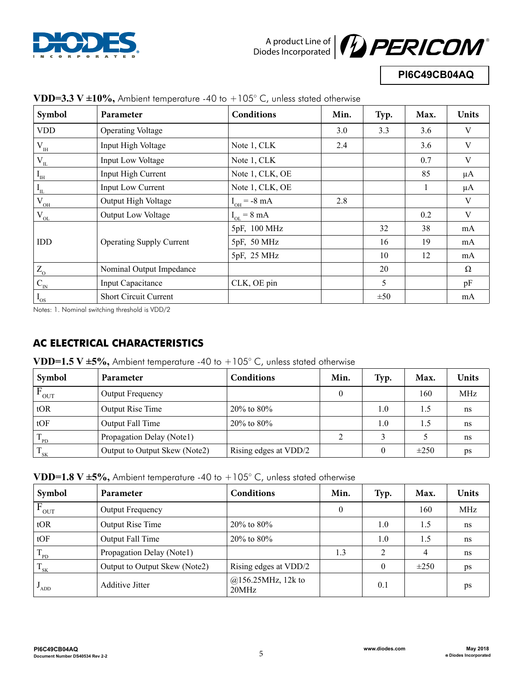



**PI6C49CB04AQ**

| Symbol                              | Parameter                       | <b>Conditions</b>       | Min. | Typ.     | Max. | <b>Units</b> |
|-------------------------------------|---------------------------------|-------------------------|------|----------|------|--------------|
| <b>VDD</b>                          | <b>Operating Voltage</b>        |                         | 3.0  | 3.3      | 3.6  | V            |
| $\rm V_{\rm \scriptscriptstyle IH}$ | Input High Voltage              | Note 1, CLK             | 2.4  |          | 3.6  | V            |
| $V_{\underline{\text{IL}}}$         | Input Low Voltage               | Note 1, CLK             |      |          | 0.7  | V            |
| $I_{\scriptscriptstyle\rm IH}$      | Input High Current              | Note 1, CLK, OE         |      |          | 85   | $\mu A$      |
| $\mathbf{I}_{\text{IL}}$            | Input Low Current               | Note 1, CLK, OE         |      |          | 1    | $\mu A$      |
| $\rm V_{\underline{\rm OH}}$        | Output High Voltage             | $I_{OH}$ = -8 mA        | 2.8  |          |      | V            |
| $V_{\underline{OL}}$                | Output Low Voltage              | $I_{OL} = 8 \text{ mA}$ |      |          | 0.2  | V            |
|                                     |                                 | 5pF, 100 MHz            |      | 32       | 38   | mA           |
| IDD                                 | <b>Operating Supply Current</b> | 5pF, 50 MHz             |      | 16       | 19   | mA           |
|                                     |                                 | 5pF, 25 MHz             |      | 10       | 12   | mA           |
| $\rm Z_{\odot}$                     | Nominal Output Impedance        |                         |      | 20       |      | $\Omega$     |
| $C_{N}$                             | <b>Input Capacitance</b>        | CLK, OE pin             |      | 5        |      | pF           |
| $I_{OS}$                            | <b>Short Circuit Current</b>    |                         |      | $\pm 50$ |      | mA           |

### **VDD=3.3 V**  $\pm 10\%$ **.** Ambient temperature -40 to  $+105^{\circ}$  C, unless stated otherwise

Notes: 1. Nominal switching threshold is VDD/2

# **AC ELECTRICAL CHARACTERISTICS**

**VDD=1.5 V ±5%,** Ambient temperature -40 to  $+105^{\circ}$  C, unless stated otherwise

| Symbol                          | Parameter                     | Conditions            | Min. | Typ. | Max.      | <b>Units</b> |
|---------------------------------|-------------------------------|-----------------------|------|------|-----------|--------------|
| <b>OUT</b>                      | <b>Output Frequency</b>       |                       |      |      | 160       | <b>MHz</b>   |
| tOR                             | Output Rise Time              | $20\%$ to 80%         |      | 1.0  | 1.5       | ns           |
| tOF                             | Output Fall Time              | $20\%$ to 80%         |      | 1.0  | 1.5       | ns           |
| $T_{\text{PD}}$                 | Propagation Delay (Notel)     |                       | ∍    |      |           | ns           |
| $\mathbf T$<br>$\frac{1}{1}$ SK | Output to Output Skew (Note2) | Rising edges at VDD/2 |      |      | $\pm 250$ | ps           |

| VDD=1.8 V ±5%, Ambient temperature -40 to +105° C, unless stated otherwise |  |  |  |
|----------------------------------------------------------------------------|--|--|--|
|----------------------------------------------------------------------------|--|--|--|

| Symbol             | Parameter                     | <b>Conditions</b>              | Min. | Typ.     | Max.      | <b>Units</b>  |
|--------------------|-------------------------------|--------------------------------|------|----------|-----------|---------------|
| $F_{OUT}$          | Output Frequency              |                                | 0    |          | 160       | MHz           |
| tOR                | Output Rise Time              | $20\%$ to $80\%$               |      | 1.0      | 1.5       | <sub>ns</sub> |
| tOF                | Output Fall Time              | $20\%$ to $80\%$               |      | 1.0      | 1.5       | ns            |
| $T_{\rm PD}$       | Propagation Delay (Notel)     |                                | 1.3  | 2        | 4         | ns            |
| $T_{SK}$           | Output to Output Skew (Note2) | Rising edges at VDD/2          |      | $\theta$ | $\pm 250$ | ps            |
| $\mathbf{v}_{ADD}$ | <b>Additive Jitter</b>        | $@156.25$ MHz, 12k to<br>20MHz |      | 0.1      |           | ps            |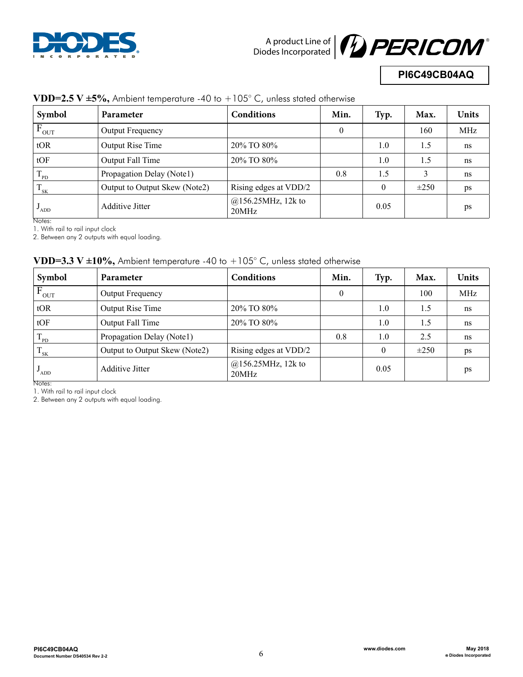



## **PI6C49CB04AQ**

| Symbol          | <b>Parameter</b>              | <b>Conditions</b>              | Min. | Typ.     | Max.      | Units |
|-----------------|-------------------------------|--------------------------------|------|----------|-----------|-------|
| $F_{OUT}$       | <b>Output Frequency</b>       |                                | 0    |          | 160       | MHz   |
| tOR             | Output Rise Time              | 20% TO 80%                     |      | 1.0      | 1.5       | ns    |
| tOF             | Output Fall Time              | 20% TO 80%                     |      | 1.0      | 1.5       | ns    |
| $T_{\text{PD}}$ | Propagation Delay (Notel)     |                                | 0.8  | 1.5      | 3         | ns    |
| $\rm T_{_{SK}}$ | Output to Output Skew (Note2) | Rising edges at VDD/2          |      | $\Omega$ | $\pm 250$ | ps    |
| 'ADD            | <b>Additive Jitter</b>        | $@156.25$ MHz, 12k to<br>20MHz |      | 0.05     |           | ps    |

### **VDD=2.5 V ±5%,** Ambient temperature -40 to +105° C, unless stated otherwise

Notes:

1. With rail to rail input clock

2. Between any 2 outputs with equal loading.

## **VDD=3.3 V ±10%,** Ambient temperature -40 to +105° C, unless stated otherwise

| Symbol                        | <b>Parameter</b>              | <b>Conditions</b>              | Min.         | Typ.     | Max.      | <b>Units</b> |
|-------------------------------|-------------------------------|--------------------------------|--------------|----------|-----------|--------------|
| $F_{OUT}$                     | <b>Output Frequency</b>       |                                | $\mathbf{0}$ |          | 100       | MHz          |
| tOR                           | <b>Output Rise Time</b>       | 20% TO 80%                     |              | 1.0      | 1.5       | ns           |
| tOF                           | Output Fall Time              | 20% TO 80%                     |              | 1.0      | 1.5       | ns           |
| T<br>$\mathbf{1}_{\text{PD}}$ | Propagation Delay (Notel)     |                                | 0.8          | 1.0      | 2.5       | ns           |
| $T_{SK}$                      | Output to Output Skew (Note2) | Rising edges at VDD/2          |              | $\theta$ | $\pm 250$ | ps           |
| $\mathbf{v}_{ADD}$            | <b>Additive Jitter</b>        | $@156.25$ MHz, 12k to<br>20MHz |              | 0.05     |           | ps           |
| Notes:                        |                               |                                |              |          |           |              |

1. With rail to rail input clock

2. Between any 2 outputs with equal loading.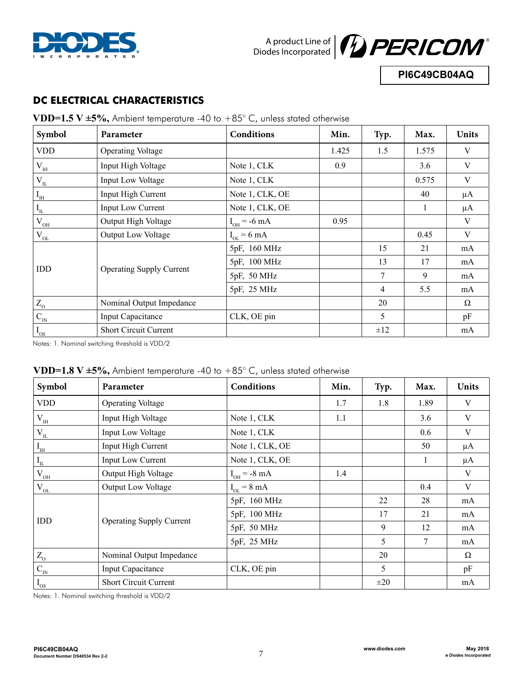



**PI6C49CB04AQ**

## **DC ELECTRICAL CHARACTERISTICS**

**VDD=1.5 V ±5%,** Ambient temperature -40 to +85° C, unless stated otherwise

| Symbol                    | Parameter                       | <b>Conditions</b>        | Min.  | Typ.           | Max.  | <b>Units</b> |
|---------------------------|---------------------------------|--------------------------|-------|----------------|-------|--------------|
| <b>VDD</b>                | <b>Operating Voltage</b>        |                          | 1.425 | 1.5            | 1.575 | V            |
| $\rm V_{\rm IH}$          | Input High Voltage              | Note 1, CLK              | 0.9   |                | 3.6   | V            |
| $\rm V_{\rm I\!L}$        | Input Low Voltage               | Note 1, CLK              |       |                | 0.575 | V            |
| I <sub>IH</sub>           | Input High Current              | Note 1, CLK, OE          |       |                | 40    | $\mu A$      |
| $\overline{\Gamma}$       | <b>Input Low Current</b>        | Note 1, CLK, OE          |       |                | 1     | $\mu A$      |
| $\rm V_{OH}$              | Output High Voltage             | $I_{OH} = -6 \text{ mA}$ | 0.95  |                |       | V            |
| $V_{OL}$                  | <b>Output Low Voltage</b>       | $I_{OL} = 6 \text{ mA}$  |       |                | 0.45  | V            |
|                           |                                 | 5pF, 160 MHz             |       | 15             | 21    | mA           |
| <b>IDD</b>                |                                 | 5pF, 100 MHz             |       | 13             | 17    | mA           |
|                           | <b>Operating Supply Current</b> | 5pF, 50 MHz              |       | $\overline{7}$ | 9     | mA           |
|                           |                                 | 5pF, 25 MHz              |       | $\overline{4}$ | 5.5   | mA           |
| $\rm Z_{\odot}$           | Nominal Output Impedance        |                          |       | 20             |       | $\Omega$     |
| $\frac{1}{C_{\text{IN}}}$ | <b>Input Capacitance</b>        | CLK, OE pin              |       | 5              |       | pF           |
| $I_{OS}$                  | <b>Short Circuit Current</b>    |                          |       | ±12            |       | mA           |

Notes: 1. Nominal switching threshold is VDD/2

|  | VDD=1.8 V $\pm$ 5%, Ambient temperature -40 to $+85^{\circ}$ C, unless stated otherwise |  |  |  |
|--|-----------------------------------------------------------------------------------------|--|--|--|
|--|-----------------------------------------------------------------------------------------|--|--|--|

| Symbol                              | Parameter                       | <b>Conditions</b>       | Min. | Typ.     | Max. | <b>Units</b> |
|-------------------------------------|---------------------------------|-------------------------|------|----------|------|--------------|
| <b>VDD</b>                          | <b>Operating Voltage</b>        |                         | 1.7  | 1.8      | 1.89 | V            |
| $\rm V_{\rm IH}$                    | Input High Voltage              | Note 1, CLK             | 1.1  |          | 3.6  | V            |
| $\ensuremath{V_\mathrm{IL}}\xspace$ | Input Low Voltage               | Note 1, CLK             |      |          | 0.6  | V            |
| $\mathbf{I}_{\rm IH}$               | Input High Current              | Note 1, CLK, OE         |      |          | 50   | $\mu A$      |
| $\mathbf{I}_{\textsc{h}}$           | Input Low Current               | Note 1, CLK, OE         |      |          | 1    | $\mu A$      |
| $\rm V_{\underline{\rm OH}}$        | Output High Voltage             | $I_{OH}$ = -8 mA        | 1.4  |          |      | V            |
| $\ensuremath{V_{\text{OL}}}$        | Output Low Voltage              | $I_{OL} = 8 \text{ mA}$ |      |          | 0.4  | V            |
|                                     |                                 | 5pF, 160 MHz            |      | 22       | 28   | mA           |
| IDD                                 |                                 | 5pF, 100 MHz            |      | 17       | 21   | mA           |
|                                     | <b>Operating Supply Current</b> | 5pF, 50 MHz             |      | 9        | 12   | mA           |
|                                     |                                 | 5pF, 25 MHz             |      | 5        | 7    | mA           |
| $\rm Z_{\rm O}$                     | Nominal Output Impedance        |                         |      | 20       |      | Ω            |
| $\mathbf{C}_\text{IN}$              | <b>Input Capacitance</b>        | CLK, OE pin             |      | 5        |      | pF           |
| $I_{OS}$                            | Short Circuit Current           |                         |      | $\pm 20$ |      | mA           |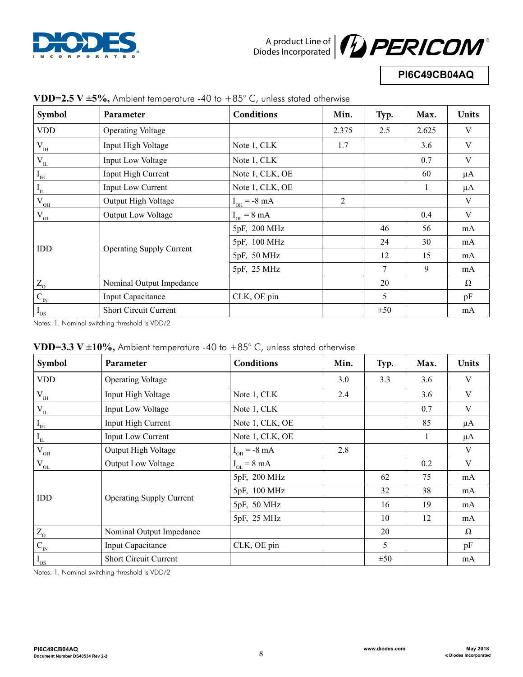



# **PI6C49CB04AQ**

| Symbol                         | Parameter                       | Conditions              | Min.  | Typ. | Max.  | <b>Units</b> |
|--------------------------------|---------------------------------|-------------------------|-------|------|-------|--------------|
| <b>VDD</b>                     | <b>Operating Voltage</b>        |                         | 2.375 | 2.5  | 2.625 | V            |
| $\rm V_{\rm IH}$               | Input High Voltage              | Note 1, CLK             | 1.7   |      | 3.6   | $\mathbf V$  |
| $V_{\underline{\text{IL}}}$    | Input Low Voltage               | Note 1, CLK             |       |      | 0.7   | V            |
| $I_{\scriptscriptstyle\rm IH}$ | Input High Current              | Note 1, CLK, OE         |       |      | 60    | $\mu A$      |
| $\mathcal{I}_{_{\textup{IL}}}$ | Input Low Current               | Note 1, CLK, OE         |       |      |       | $\mu A$      |
| $\rm V_{OH}$                   | Output High Voltage             | $I_{OH}$ = -8 mA        | 2     |      |       | V            |
| $\rm V_{OL}$                   | Output Low Voltage              | $I_{OL} = 8 \text{ mA}$ |       |      | 0.4   | V            |
|                                |                                 | 5pF, 200 MHz            |       | 46   | 56    | mA           |
| IDD                            | <b>Operating Supply Current</b> | 5pF, 100 MHz            |       | 24   | 30    | mA           |
|                                |                                 | 5pF, 50 MHz             |       | 12   | 15    | mA           |
|                                |                                 | 5pF, 25 MHz             |       | 7    | 9     | mA           |
| $\rm Z_{\rm O}$                | Nominal Output Impedance        |                         |       | 20   |       | Ω            |
| $\mathbf{C}_\text{IN}$         | Input Capacitance               | CLK, OE pin             |       | 5    |       | pF           |
| $I_{OS}$                       | Short Circuit Current           |                         |       | ±50  |       | mA           |

#### **VDD=2.5 V**  $\pm$ **5%.** Ambient temperature -40 to  $+85^{\circ}$  C, unless stated otherwise

Notes: 1. Nominal switching threshold is VDD/2

|  | VDD=3.3 V $\pm10\%$ , Ambient temperature -40 to +85° C, unless stated otherwise |  |  |  |
|--|----------------------------------------------------------------------------------|--|--|--|
|--|----------------------------------------------------------------------------------|--|--|--|

| Symbol                         | Parameter                       | Conditions              | Min. | Typ.     | Max. | Units    |
|--------------------------------|---------------------------------|-------------------------|------|----------|------|----------|
| <b>VDD</b>                     | <b>Operating Voltage</b>        |                         | 3.0  | 3.3      | 3.6  | V        |
| $\rm V_{\rm IH}$               | Input High Voltage              | Note 1, CLK             | 2.4  |          | 3.6  | V        |
| $\ensuremath{V_\mathrm{IL}}$   | Input Low Voltage               | Note 1, CLK             |      |          | 0.7  | V        |
| $I_{\scriptscriptstyle\rm IH}$ | Input High Current              | Note 1, CLK, OE         |      |          | 85   | $\mu A$  |
| $\mathcal{I}_{_{\text{IL}}}$   | <b>Input Low Current</b>        | Note 1, CLK, OE         |      |          |      | $\mu A$  |
| $\rm V_{\underline{\rm OH}}$   | Output High Voltage             | $I_{OH}$ = -8 mA        | 2.8  |          |      | V        |
| $\ensuremath{V_{\text{OL}}}$   | Output Low Voltage              | $I_{OL} = 8 \text{ mA}$ |      |          | 0.2  | V        |
|                                |                                 | 5pF, 200 MHz            |      | 62       | 75   | mA       |
| IDD                            |                                 | 5pF, 100 MHz            |      | 32       | 38   | mA       |
|                                | <b>Operating Supply Current</b> | 5pF, 50 MHz             |      | 16       | 19   | mA       |
|                                |                                 | 5pF, 25 MHz             |      | 10       | 12   | mA       |
| $\rm Z_{\odot}$                | Nominal Output Impedance        |                         |      | 20       |      | $\Omega$ |
| $C_{IN}$                       | Input Capacitance               | CLK, OE pin             |      | 5        |      | pF       |
| $I_{OS}$                       | <b>Short Circuit Current</b>    |                         |      | $\pm 50$ |      | mA       |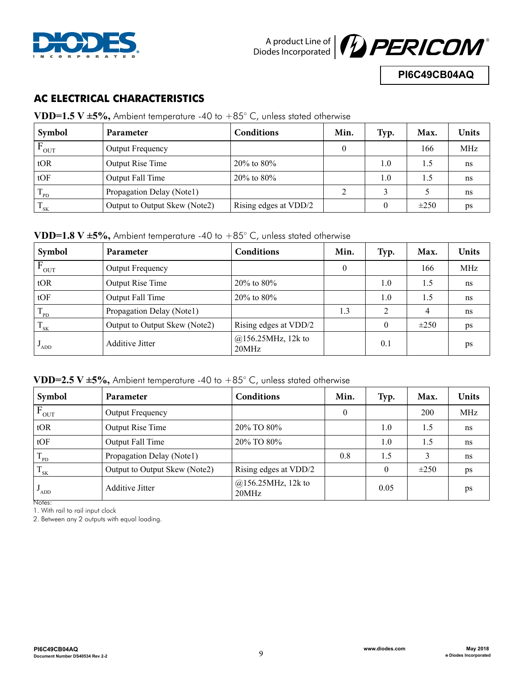



**PI6C49CB04AQ**

## **AC ELECTRICAL CHARACTERISTICS**

**VDD=1.5 V ±5%,** Ambient temperature -40 to +85° C, unless stated otherwise

| Symbol           | Parameter                     | Conditions            | Min. | Typ. | Max.      | Units |
|------------------|-------------------------------|-----------------------|------|------|-----------|-------|
| <b>OUT</b>       | <b>Output Frequency</b>       |                       |      |      | 166       | MHz   |
| tOR              | Output Rise Time              | $20\%$ to 80%         |      | 1.0  | 1.5       | ns    |
| tOF              | Output Fall Time              | $20\%$ to 80%         |      | 1.0  | 1.5       | ns    |
| $\mathbf{P}$     | Propagation Delay (Notel)     |                       |      |      |           | ns    |
| $\frac{1}{1}$ SK | Output to Output Skew (Note2) | Rising edges at VDD/2 |      | 0    | $\pm 250$ | ps    |

#### **VDD=1.8 V ±5%,** Ambient temperature -40 to +85° C, unless stated otherwise

| Symbol            | <b>Parameter</b>              | <b>Conditions</b>              | Min.     | Typ.           | Max.      | <b>Units</b> |
|-------------------|-------------------------------|--------------------------------|----------|----------------|-----------|--------------|
| $F_{\text{OUT}}$  | Output Frequency              |                                | $\theta$ |                | 166       | MHz          |
| tOR               | Output Rise Time              | $20\%$ to $80\%$               |          | 1.0            | 1.5       | ns           |
| tOF               | Output Fall Time              | $20\%$ to $80\%$               |          | 1.0            | 1.5       | ns           |
| $\mathbf{P}$      | Propagation Delay (Notel)     |                                | 1.3      | $\overline{2}$ | 4         | ns           |
| $\mathbf{1}_{SK}$ | Output to Output Skew (Note2) | Rising edges at VDD/2          |          | $\theta$       | $\pm 250$ | ps           |
| ADD <sup>'</sup>  | <b>Additive Jitter</b>        | $@156.25$ MHz, 12k to<br>20MHz |          | 0.1            |           | ps           |

## **VDD=2.5 V ±5%,** Ambient temperature -40 to +85° C, unless stated otherwise

| Symbol                     | Parameter                     | Conditions                     | Min.         | Typ.     | Max.      | <b>Units</b> |
|----------------------------|-------------------------------|--------------------------------|--------------|----------|-----------|--------------|
| $F_{OUT}$                  | Output Frequency              |                                | $\mathbf{0}$ |          | 200       | MHz          |
| tOR                        | Output Rise Time              | 20% TO 80%                     |              | 1.0      | 1.5       | ns           |
| tOF                        | Output Fall Time              | 20% TO 80%                     |              | 1.0      | 1.5       | ns           |
| $T_{\rm PD}$               | Propagation Delay (Notel)     |                                | 0.8          | 1.5      | 3         | ns           |
| $\mathbf{1}_{\mathrm{SK}}$ | Output to Output Skew (Note2) | Rising edges at VDD/2          |              | $\theta$ | $\pm 250$ | ps           |
| $\mathbf{v}_{\text{ADD}}$  | <b>Additive Jitter</b>        | $@156.25$ MHz, 12k to<br>20MHz |              | 0.05     |           | ps           |

Notes:

1. With rail to rail input clock

2. Between any 2 outputs with equal loading.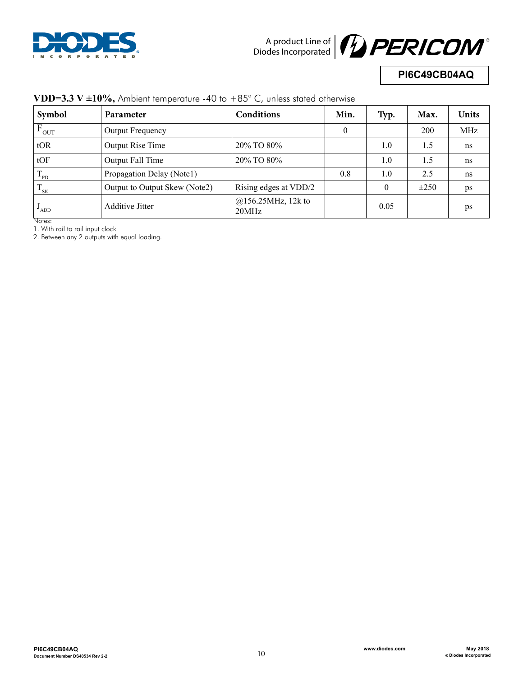



## **PI6C49CB04AQ**

| Symbol                             | Parameter                     | Conditions                     | Min.     | Typ.     | Max.      | <b>Units</b> |
|------------------------------------|-------------------------------|--------------------------------|----------|----------|-----------|--------------|
| <b>OUT</b>                         | <b>Output Frequency</b>       |                                | $\theta$ |          | 200       | MHz          |
| tOR                                | Output Rise Time              | 20% TO 80%                     |          | 1.0      | 1.5       | ns           |
| tOF                                | Output Fall Time              | 20% TO 80%                     |          | 1.0      | 1.5       | ns           |
| т<br>$\mathbf{P}$                  | Propagation Delay (Notel)     |                                | 0.8      | 1.0      | 2.5       | ns           |
| $\mathbf{1}_{SK}$                  | Output to Output Skew (Note2) | Rising edges at VDD/2          |          | $\theta$ | $\pm 250$ | ps           |
| ADD <sup>'</sup><br>$\overline{a}$ | <b>Additive Jitter</b>        | $@156.25$ MHz, 12k to<br>20MHz |          | 0.05     |           | ps           |

#### **VDD=3.3 V ±10%,** Ambient temperature -40 to +85° C, unless stated otherwise

Notes:

1. With rail to rail input clock

2. Between any 2 outputs with equal loading.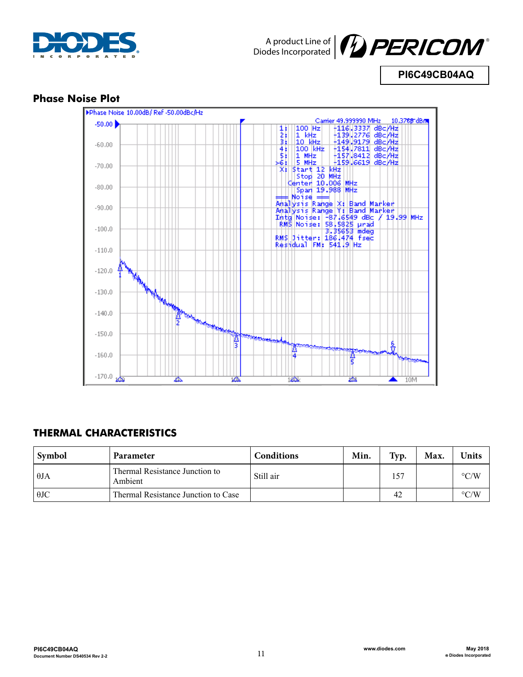



**PI6C49CB04AQ**

## **Phase Noise Plot**



## **THERMAL CHARACTERISTICS**

| Symbol      | Parameter                                 | Conditions | Min. | Typ. | Max. | Units              |
|-------------|-------------------------------------------|------------|------|------|------|--------------------|
| $\theta$ JA | Thermal Resistance Junction to<br>Ambient | Still air  |      | 157  |      | $\rm ^{\circ}$ C/W |
| $\theta$ JC | Thermal Resistance Junction to Case       |            |      | 42   |      | $\rm ^{\circ}$ C/W |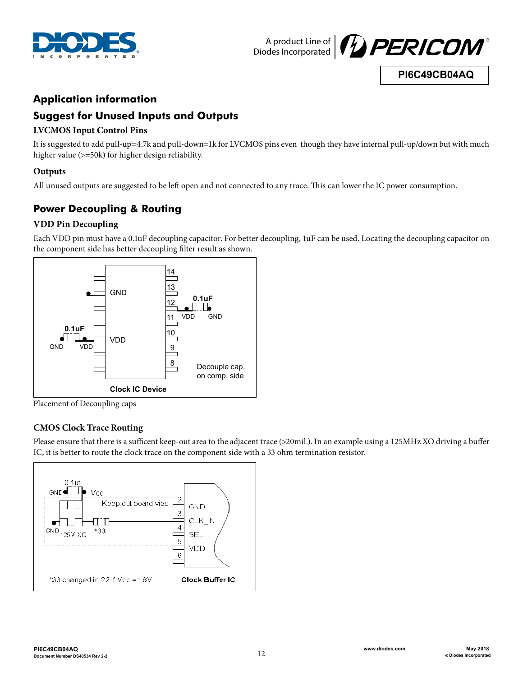



**PI6C49CB04AQ**

## **Application information**

## **Suggest for Unused Inputs and Outputs**

### **LVCMOS Input Control Pins**

It is suggested to add pull-up=4.7k and pull-down=1k for LVCMOS pins even though they have internal pull-up/down but with much higher value (>=50k) for higher design reliability.

### **Outputs**

All unused outputs are suggested to be left open and not connected to any trace. This can lower the IC power consumption.

## **Power Decoupling & Routing**

### **VDD Pin Decoupling**

Each VDD pin must have a 0.1uF decoupling capacitor. For better decoupling, 1uF can be used. Locating the decoupling capacitor on the component side has better decoupling filter result as shown.



Placement of Decoupling caps

### **CMOS Clock Trace Routing**

Please ensure that there is a sufficent keep-out area to the adjacent trace (>20mil.). In an example using a 125MHz XO driving a buffer IC, it is better to route the clock trace on the component side with a 33 ohm termination resistor.

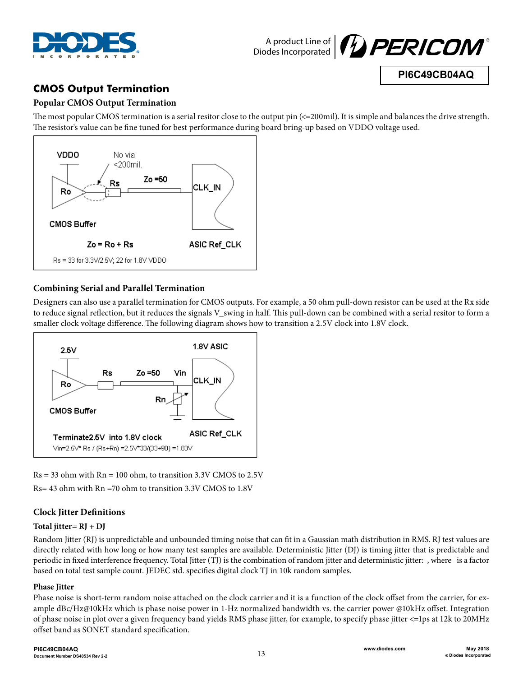



**PI6C49CB04AQ**

# **CMOS Output Termination**

### **Popular CMOS Output Termination**

The most popular CMOS termination is a serial resitor close to the output pin (<=200mil). It is simple and balances the drive strength. The resistor's value can be fine tuned for best performance during board bring-up based on VDDO voltage used.



#### **Combining Serial and Parallel Termination**

Designers can also use a parallel termination for CMOS outputs. For example, a 50 ohm pull-down resistor can be used at the Rx side to reduce signal reflection, but it reduces the signals V\_swing in half. This pull-down can be combined with a serial resitor to form a smaller clock voltage difference. The following diagram shows how to transition a 2.5V clock into 1.8V clock.



 $Rs = 33$  ohm with  $Rn = 100$  ohm, to transition 3.3V CMOS to 2.5V

Rs= 43 ohm with Rn =70 ohm to transition 3.3V CMOS to 1.8V

### **Clock Jitter Definitions**

#### **Total jitter= RJ + DJ**

Random Jitter (RJ) is unpredictable and unbounded timing noise that can fit in a Gaussian math distribution in RMS. RJ test values are directly related with how long or how many test samples are available. Deterministic Jitter (DJ) is timing jitter that is predictable and periodic in fixed interference frequency. Total Jitter (TJ) is the combination of random jitter and deterministic jitter: , where is a factor based on total test sample count. JEDEC std. specifies digital clock TJ in 10k random samples.

#### **Phase Jitter**

Phase noise is short-term random noise attached on the clock carrier and it is a function of the clock offset from the carrier, for example dBc/Hz@10kHz which is phase noise power in 1-Hz normalized bandwidth vs. the carrier power @10kHz offset. Integration of phase noise in plot over a given frequency band yields RMS phase jitter, for example, to specify phase jitter <=1ps at 12k to 20MHz offset band as SONET standard specification.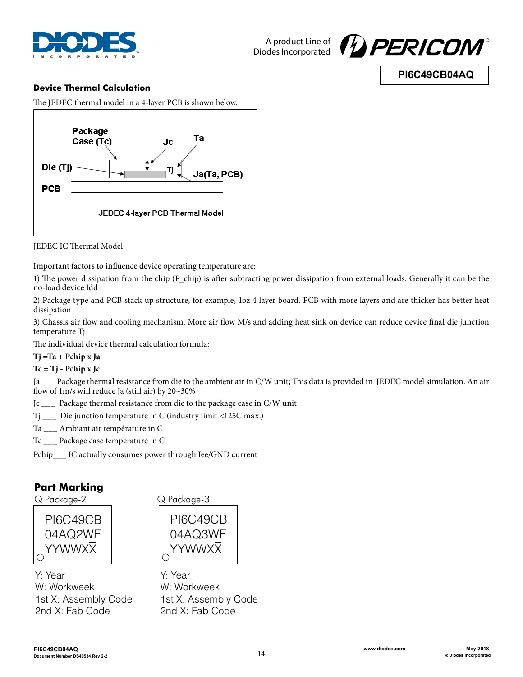



## **PI6C49CB04AQ**

#### **Device Thermal Calculation**

The JEDEC thermal model in a 4-layer PCB is shown below.



JEDEC IC Thermal Model

Important factors to influence device operating temperature are:

1) The power dissipation from the chip (P\_chip) is after subtracting power dissipation from external loads. Generally it can be the no-load device Idd

2) Package type and PCB stack-up structure, for example, 1oz 4 layer board. PCB with more layers and are thicker has better heat dissipation

3) Chassis air flow and cooling mechanism. More air flow M/s and adding heat sink on device can reduce device final die junction temperature Tj

The individual device thermal calculation formula:

#### **Tj =Ta + Pchip x Ja**

#### **Tc = Tj - Pchip x Jc**

Ja \_\_\_ Package thermal resistance from die to the ambient air in C/W unit; This data is provided in JEDEC model simulation. An air flow of 1m/s will reduce Ja (still air) by 20~30%

Jc \_\_\_ Package thermal resistance from die to the package case in C/W unit

Tj \_\_\_ Die junction temperature in C (industry limit <125C max.)

- Ta \_\_\_ Ambiant air température in C
- Tc \_\_\_ Package case temperature in C

Pchip\_\_\_ IC actually consumes power through Iee/GND current

### **Part Marking**



Y: Year W: Workweek 1st X: Assembly Code 2nd X: Fab Code

Q Package-2 Q Package-3



Y: Year W: Workweek 1st X: Assembly Code 2nd X: Fab Code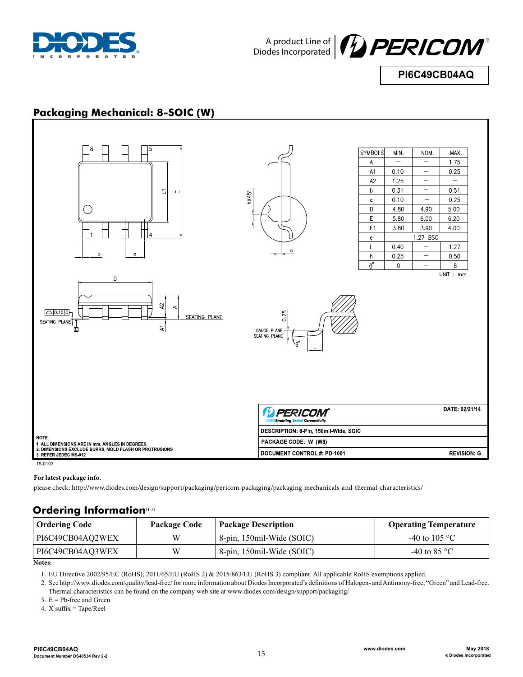



**PI6C49CB04AQ**

## **Packaging Mechanical: 8-SOIC (W)**



#### **For latest package info.**

please check: http://www.diodes.com/design/support/packaging/pericom-packaging/packaging-mechanicals-and-thermal-characteristics/

### **Ordering Information**(1-3)

| <b>Ordering Code</b> | Package Code | <b>Package Description</b> | <b>Operating Temperature</b> |
|----------------------|--------------|----------------------------|------------------------------|
| PI6C49CB04AQ2WEX     | W            | 8-pin, 150mil-Wide (SOIC)  | -40 to 105 °C                |
| PI6C49CB04AQ3WEX     | W            | 8-pin, 150mil-Wide (SOIC)  | -40 to 85 $^{\circ}$ C       |

**Notes:**

1. EU Directive 2002/95/EC (RoHS), 2011/65/EU (RoHS 2) & 2015/863/EU (RoHS 3) compliant. All applicable RoHS exemptions applied.

2. See http://www.diodes.com/quality/lead-free/ for more information about Diodes Incorporated's definitions of Halogen- and Antimony-free, "Green" and Lead-free. Thermal characteristics can be found on the company web site at www.diodes.com/design/support/packaging/

3.  $E = Pb$ -free and Green

4. X suffix = Tape/Reel